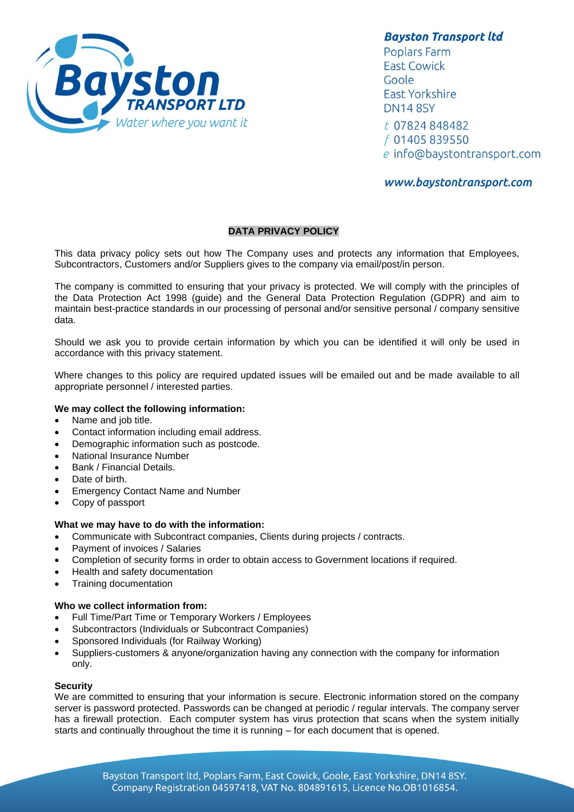

**Bayston Transport ltd** 

Poplars Farm **East Cowick** Goole **East Yorkshire DN14 8SY** t 07824 848482 f 01405 839550 e info@baystontransport.com

# www.baystontransport.com

## **DATA PRIVACY POLICY**

This data privacy policy sets out how The Company uses and protects any information that Employees, Subcontractors, Customers and/or Suppliers gives to the company via email/post/in person.

The company is committed to ensuring that your privacy is protected. We will comply with the principles of the Data Protection Act 1998 (guide) and the General Data Protection Regulation (GDPR) and aim to maintain best-practice standards in our processing of personal and/or sensitive personal / company sensitive data.

Should we ask you to provide certain information by which you can be identified it will only be used in accordance with this privacy statement.

Where changes to this policy are required updated issues will be emailed out and be made available to all appropriate personnel / interested parties.

## **We may collect the following information:**

- Name and job title.
- Contact information including email address.
- Demographic information such as postcode.
- National Insurance Number
- Bank / Financial Details.
- Date of birth.
- Emergency Contact Name and Number
- Copy of passport

## **What we may have to do with the information:**

- Communicate with Subcontract companies, Clients during projects / contracts.
- Payment of invoices / Salaries
- Completion of security forms in order to obtain access to Government locations if required.
- Health and safety documentation
- Training documentation

## **Who we collect information from:**

- Full Time/Part Time or Temporary Workers / Employees
- Subcontractors (Individuals or Subcontract Companies)
- Sponsored Individuals (for Railway Working)
- Suppliers-customers & anyone/organization having any connection with the company for information only.

#### **Security**

We are committed to ensuring that your information is secure. Electronic information stored on the company server is password protected. Passwords can be changed at periodic / regular intervals. The company server has a firewall protection. Each computer system has virus protection that scans when the system initially starts and continually throughout the time it is running – for each document that is opened.

> Bayston Transport ltd, Poplars Farm, East Cowick, Goole, East Yorkshire, DN14 8SY. Company Registration 04597418, VAT No. 804891615, Licence No.OB1016854.